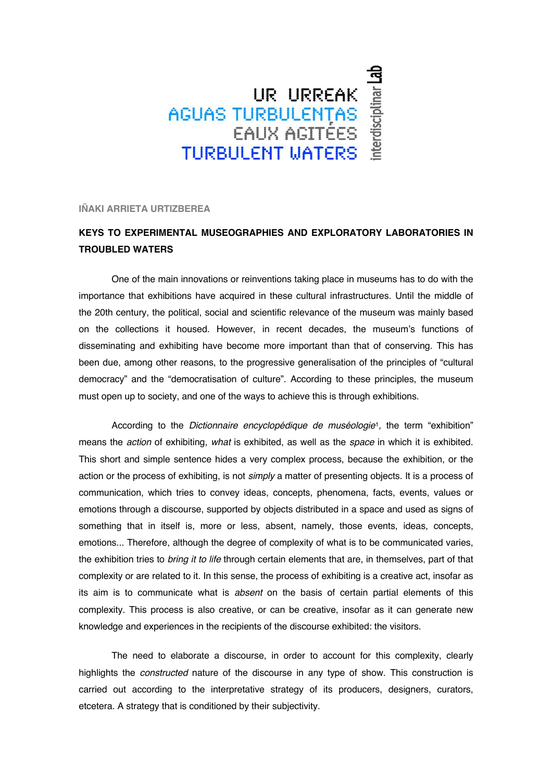## UR URREAK<br>AGUAS TURBULENTAS<br>EAUX AGITÉES THRBHI FNT MATERS

**IÑAKI ARRIETA URTIZBEREA** 

## **KEYS TO EXPERIMENTAL MUSEOGRAPHIES AND EXPLORATORY LABORATORIES IN TROUBLED WATERS**

One of the main innovations or reinventions taking place in museums has to do with the importance that exhibitions have acquired in these cultural infrastructures. Until the middle of the 20th century, the political, social and scientific relevance of the museum was mainly based on the collections it housed. However, in recent decades, the museum's functions of disseminating and exhibiting have become more important than that of conserving. This has been due, among other reasons, to the progressive generalisation of the principles of "cultural democracy" and the "democratisation of culture". According to these principles, the museum must open up to society, and one of the ways to achieve this is through exhibitions.

According to the *Dictionnaire encyclopédique de muséologie*1*,* the term "exhibition" means the *action* of exhibiting, *what* is exhibited, as well as the *space* in which it is exhibited. This short and simple sentence hides a very complex process, because the exhibition, or the action or the process of exhibiting, is not *simply* a matter of presenting objects. It is a process of communication, which tries to convey ideas, concepts, phenomena, facts, events, values or emotions through a discourse, supported by objects distributed in a space and used as signs of something that in itself is, more or less, absent, namely, those events, ideas, concepts, emotions... Therefore, although the degree of complexity of what is to be communicated varies, the exhibition tries to *bring it to life* through certain elements that are, in themselves, part of that complexity or are related to it. In this sense, the process of exhibiting is a creative act, insofar as its aim is to communicate what is *absent* on the basis of certain partial elements of this complexity. This process is also creative, or can be creative, insofar as it can generate new knowledge and experiences in the recipients of the discourse exhibited: the visitors.

The need to elaborate a discourse, in order to account for this complexity, clearly highlights the *constructed* nature of the discourse in any type of show. This construction is carried out according to the interpretative strategy of its producers, designers, curators, etcetera. A strategy that is conditioned by their subjectivity.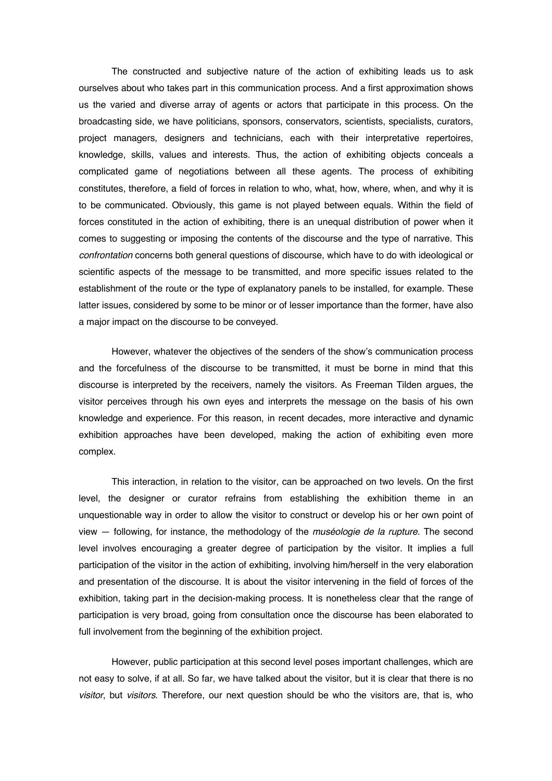The constructed and subjective nature of the action of exhibiting leads us to ask ourselves about who takes part in this communication process. And a first approximation shows us the varied and diverse array of agents or actors that participate in this process. On the broadcasting side, we have politicians, sponsors, conservators, scientists, specialists, curators, project managers, designers and technicians, each with their interpretative repertoires, knowledge, skills, values and interests. Thus, the action of exhibiting objects conceals a complicated game of negotiations between all these agents. The process of exhibiting constitutes, therefore, a field of forces in relation to who, what, how, where, when, and why it is to be communicated. Obviously, this game is not played between equals. Within the field of forces constituted in the action of exhibiting, there is an unequal distribution of power when it comes to suggesting or imposing the contents of the discourse and the type of narrative. This *confrontation* concerns both general questions of discourse, which have to do with ideological or scientific aspects of the message to be transmitted, and more specific issues related to the establishment of the route or the type of explanatory panels to be installed, for example. These latter issues, considered by some to be minor or of lesser importance than the former, have also a major impact on the discourse to be conveyed.

However, whatever the objectives of the senders of the show's communication process and the forcefulness of the discourse to be transmitted, it must be borne in mind that this discourse is interpreted by the receivers, namely the visitors. As Freeman Tilden argues, the visitor perceives through his own eyes and interprets the message on the basis of his own knowledge and experience. For this reason, in recent decades, more interactive and dynamic exhibition approaches have been developed, making the action of exhibiting even more complex.

This interaction, in relation to the visitor, can be approached on two levels. On the first level, the designer or curator refrains from establishing the exhibition theme in an unquestionable way in order to allow the visitor to construct or develop his or her own point of view — following, for instance, the methodology of the *muséologie de la rupture*. The second level involves encouraging a greater degree of participation by the visitor. It implies a full participation of the visitor in the action of exhibiting, involving him/herself in the very elaboration and presentation of the discourse. It is about the visitor intervening in the field of forces of the exhibition, taking part in the decision-making process. It is nonetheless clear that the range of participation is very broad, going from consultation once the discourse has been elaborated to full involvement from the beginning of the exhibition project.

However, public participation at this second level poses important challenges, which are not easy to solve, if at all. So far, we have talked about the visitor, but it is clear that there is no *visitor*, but *visitors*. Therefore, our next question should be who the visitors are, that is, who